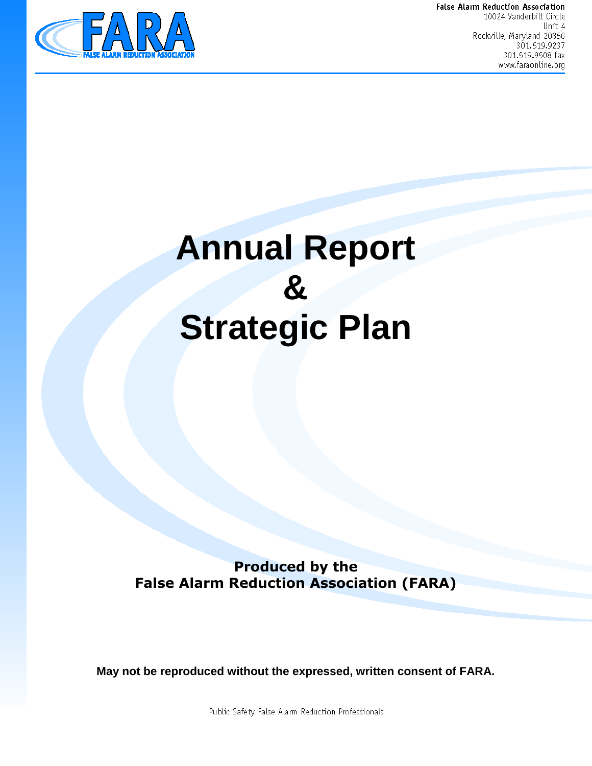

False Alarm Reduction Association 10024 Vanderbilt Circle Unit 4 Rockville, Maryland 20850 301.519.9237 301.519.9508 fax www.faraonline.org

# **Annual Report & Strategic Plan**

**Produced by the False Alarm Reduction Association (FARA)**

**May not be reproduced without the expressed, written consent of FARA.**

Public Safety False Alarm Reduction Professionals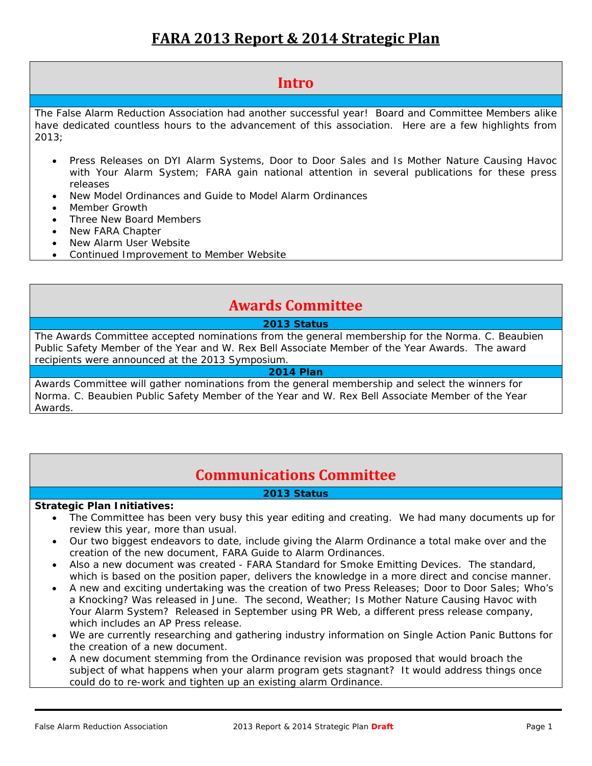# **FARA 2013 Report & 2014 Strategic Plan**

# **Intro**

The False Alarm Reduction Association had another successful year! Board and Committee Members alike have dedicated countless hours to the advancement of this association. Here are a few highlights from 2013;

- Press Releases on DYI Alarm Systems, Door to Door Sales and Is Mother Nature Causing Havoc with Your Alarm System; FARA gain national attention in several publications for these press releases
- New Model Ordinances and Guide to Model Alarm Ordinances
- Member Growth
- Three New Board Members
- New FARA Chapter
- New Alarm User Website
- Continued Improvement to Member Website

# **Awards Committee**

# **2013 Status**

The Awards Committee accepted nominations from the general membership for the Norma. C. Beaubien Public Safety Member of the Year and W. Rex Bell Associate Member of the Year Awards. The award recipients were announced at the 2013 Symposium.

# **2014 Plan**

Awards Committee will gather nominations from the general membership and select the winners for Norma. C. Beaubien Public Safety Member of the Year and W. Rex Bell Associate Member of the Year Awards.

# **Communications Committee**

# **2013 Status**

# **Strategic Plan Initiatives:**

- The Committee has been very busy this year editing and creating. We had many documents up for review this year, more than usual.
- Our two biggest endeavors to date, include giving the Alarm Ordinance a total make over and the creation of the new document, FARA Guide to Alarm Ordinances.
- Also a new document was created FARA Standard for Smoke Emitting Devices. The standard, which is based on the position paper, delivers the knowledge in a more direct and concise manner.
- A new and exciting undertaking was the creation of two Press Releases; Door to Door Sales; Who's a Knocking? Was released in June. The second, Weather; Is Mother Nature Causing Havoc with Your Alarm System? Released in September using PR Web, a different press release company, which includes an AP Press release.
- We are currently researching and gathering industry information on Single Action Panic Buttons for the creation of a new document.
- A new document stemming from the Ordinance revision was proposed that would broach the subject of what happens when your alarm program gets stagnant? It would address things once could do to re-work and tighten up an existing alarm Ordinance.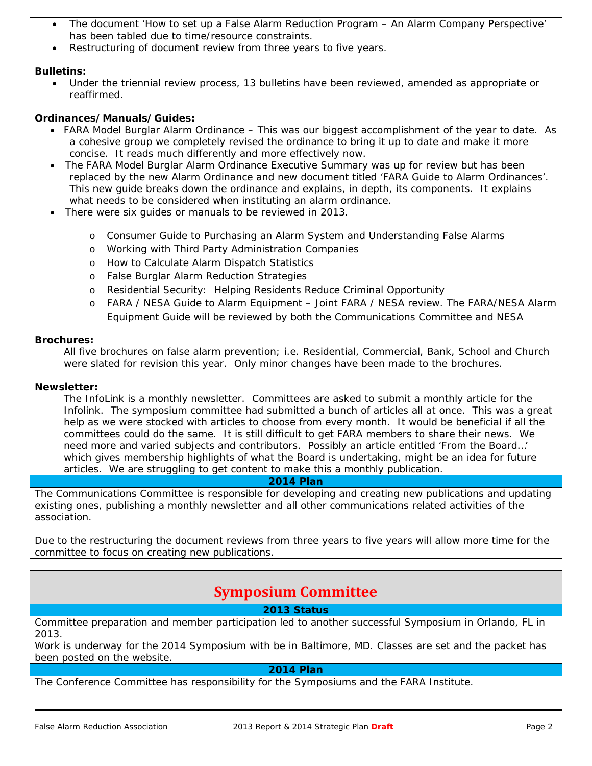- The document 'How to set up a False Alarm Reduction Program An Alarm Company Perspective' has been tabled due to time/resource constraints.
- Restructuring of document review from three years to five years.

# **Bulletins:**

 Under the triennial review process, 13 bulletins have been reviewed, amended as appropriate or reaffirmed.

## **Ordinances/Manuals/Guides:**

- FARA Model Burglar Alarm Ordinance This was our biggest accomplishment of the year to date. As a cohesive group we completely revised the ordinance to bring it up to date and make it more concise. It reads much differently and more effectively now.
- The FARA Model Burglar Alarm Ordinance Executive Summary was up for review but has been replaced by the new Alarm Ordinance and new document titled 'FARA Guide to Alarm Ordinances'. This new guide breaks down the ordinance and explains, in depth, its components. It explains what needs to be considered when instituting an alarm ordinance.
- There were six guides or manuals to be reviewed in 2013.
	- o Consumer Guide to Purchasing an Alarm System and Understanding False Alarms
	- o Working with Third Party Administration Companies
	- o How to Calculate Alarm Dispatch Statistics
	- o False Burglar Alarm Reduction Strategies
	- o Residential Security: Helping Residents Reduce Criminal Opportunity
	- FARA / NESA Guide to Alarm Equipment Joint FARA / NESA review. The FARA/NESA Alarm Equipment Guide will be reviewed by both the Communications Committee and NESA

#### **Brochures:**

All five brochures on false alarm prevention; i.e. Residential, Commercial, Bank, School and Church were slated for revision this year. Only minor changes have been made to the brochures.

# **Newsletter:**

The InfoLink is a monthly newsletter. Committees are asked to submit a monthly article for the Infolink. The symposium committee had submitted a bunch of articles all at once. This was a great help as we were stocked with articles to choose from every month. It would be beneficial if all the committees could do the same. It is still difficult to get FARA members to share their news. We need more and varied subjects and contributors. Possibly an article entitled 'From the Board…' which gives membership highlights of what the Board is undertaking, might be an idea for future articles. We are struggling to get content to make this a monthly publication.

#### **2014 Plan**

The Communications Committee is responsible for developing and creating new publications and updating existing ones, publishing a monthly newsletter and all other communications related activities of the association.

Due to the restructuring the document reviews from three years to five years will allow more time for the committee to focus on creating new publications.

# **Symposium Committee**

#### **2013 Status**

Committee preparation and member participation led to another successful Symposium in Orlando, FL in 2013.

Work is underway for the 2014 Symposium with be in Baltimore, MD. Classes are set and the packet has been posted on the website.

#### **2014 Plan**

The Conference Committee has responsibility for the Symposiums and the FARA Institute.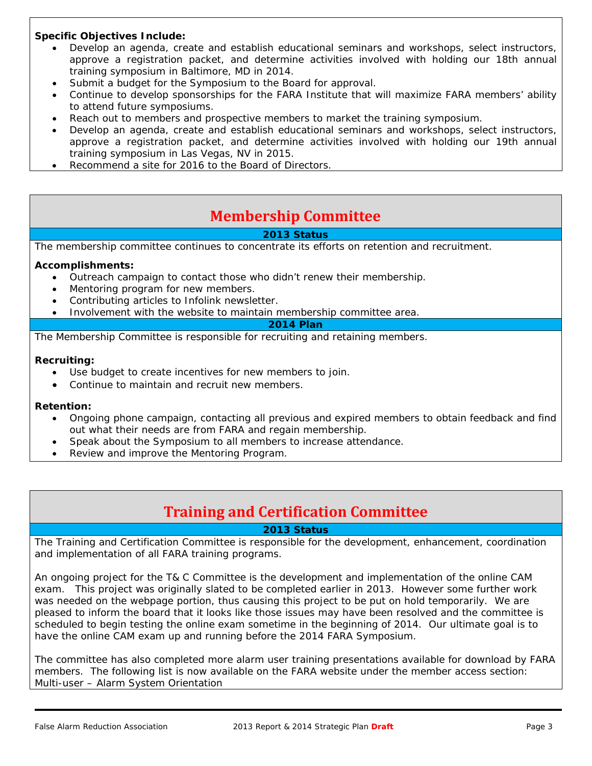# **Specific Objectives Include:**

- Develop an agenda, create and establish educational seminars and workshops, select instructors, approve a registration packet, and determine activities involved with holding our 18th annual training symposium in Baltimore, MD in 2014.
- Submit a budget for the Symposium to the Board for approval.
- Continue to develop sponsorships for the FARA Institute that will maximize FARA members' ability to attend future symposiums.
- Reach out to members and prospective members to market the training symposium.
- Develop an agenda, create and establish educational seminars and workshops, select instructors, approve a registration packet, and determine activities involved with holding our 19th annual training symposium in Las Vegas, NV in 2015.
- Recommend a site for 2016 to the Board of Directors.

# **Membership Committee**

# **2013 Status**

The membership committee continues to concentrate its efforts on retention and recruitment.

#### **Accomplishments:**

- Outreach campaign to contact those who didn't renew their membership.
- Mentoring program for new members.
- Contributing articles to Infolink newsletter.
- Involvement with the website to maintain membership committee area.

## **2014 Plan**

The Membership Committee is responsible for recruiting and retaining members.

#### **Recruiting:**

- Use budget to create incentives for new members to join.
- Continue to maintain and recruit new members.

#### **Retention:**

- Ongoing phone campaign, contacting all previous and expired members to obtain feedback and find out what their needs are from FARA and regain membership.
- Speak about the Symposium to all members to increase attendance.
- Review and improve the Mentoring Program.

# **Training and Certification Committee**

**2013 Status** 

The Training and Certification Committee is responsible for the development, enhancement, coordination and implementation of all FARA training programs.

An ongoing project for the T& C Committee is the development and implementation of the online CAM exam. This project was originally slated to be completed earlier in 2013. However some further work was needed on the webpage portion, thus causing this project to be put on hold temporarily. We are pleased to inform the board that it looks like those issues may have been resolved and the committee is scheduled to begin testing the online exam sometime in the beginning of 2014. Our ultimate goal is to have the online CAM exam up and running before the 2014 FARA Symposium.

The committee has also completed more alarm user training presentations available for download by FARA members. The following list is now available on the FARA website under the member access section: Multi-user – Alarm System Orientation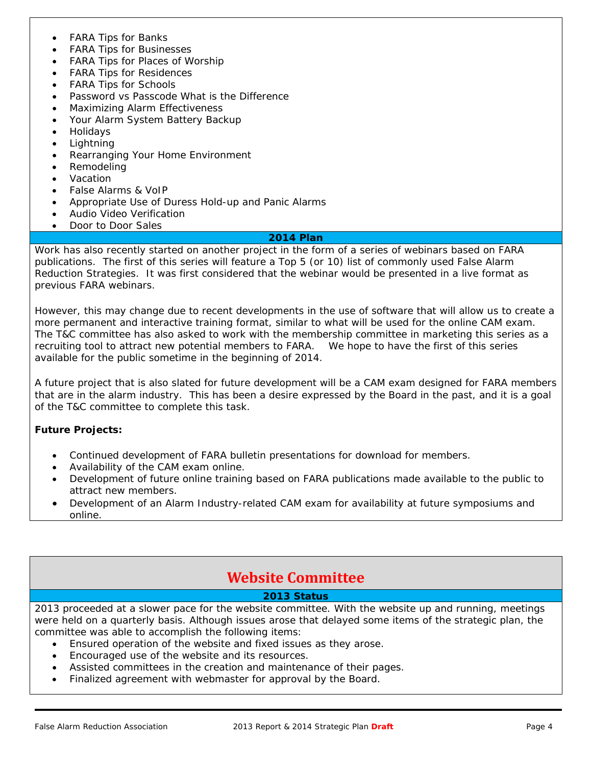- FARA Tips for Banks
- FARA Tips for Businesses
- FARA Tips for Places of Worship
- FARA Tips for Residences
- FARA Tips for Schools
- Password vs Passcode What is the Difference
- Maximizing Alarm Effectiveness
- Your Alarm System Battery Backup
- Holidays
- Lightning
- Rearranging Your Home Environment
- Remodeling
- Vacation
- False Alarms & VoIP
- Appropriate Use of Duress Hold-up and Panic Alarms
- Audio Video Verification
- Door to Door Sales

#### **2014 Plan**

Work has also recently started on another project in the form of a series of webinars based on FARA publications. The first of this series will feature a Top 5 (or 10) list of commonly used False Alarm Reduction Strategies. It was first considered that the webinar would be presented in a live format as previous FARA webinars.

However, this may change due to recent developments in the use of software that will allow us to create a more permanent and interactive training format, similar to what will be used for the online CAM exam. The T&C committee has also asked to work with the membership committee in marketing this series as a recruiting tool to attract new potential members to FARA. We hope to have the first of this series available for the public sometime in the beginning of 2014.

A future project that is also slated for future development will be a CAM exam designed for FARA members that are in the alarm industry. This has been a desire expressed by the Board in the past, and it is a goal of the T&C committee to complete this task.

# **Future Projects:**

- Continued development of FARA bulletin presentations for download for members.
- Availability of the CAM exam online.
- Development of future online training based on FARA publications made available to the public to attract new members.
- Development of an Alarm Industry-related CAM exam for availability at future symposiums and online.

# **Website Committee**

# **2013 Status**

2013 proceeded at a slower pace for the website committee. With the website up and running, meetings were held on a quarterly basis. Although issues arose that delayed some items of the strategic plan, the committee was able to accomplish the following items:

- Ensured operation of the website and fixed issues as they arose.
- Encouraged use of the website and its resources.
- Assisted committees in the creation and maintenance of their pages.
- Finalized agreement with webmaster for approval by the Board.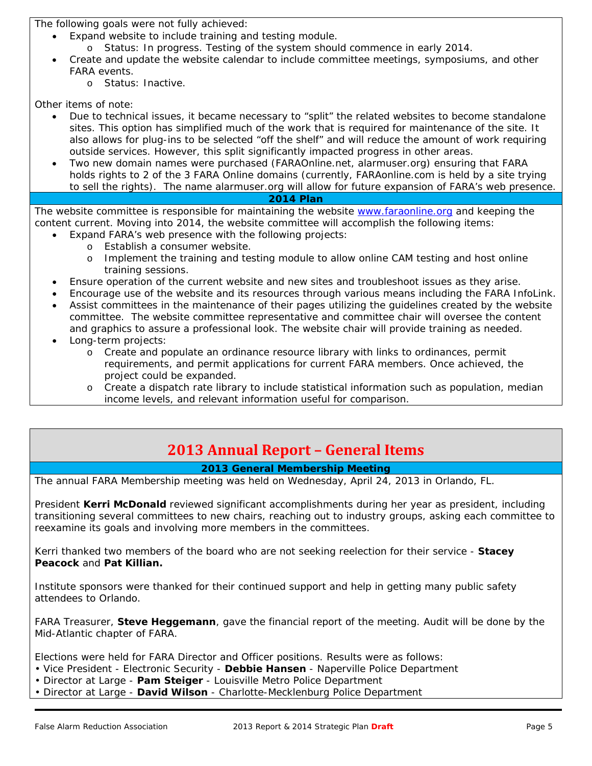The following goals were not fully achieved:

- Expand website to include training and testing module.
	- o Status: In progress. Testing of the system should commence in early 2014.
- Create and update the website calendar to include committee meetings, symposiums, and other FARA events.
	- o Status: Inactive.

Other items of note:

- Due to technical issues, it became necessary to "split" the related websites to become standalone sites. This option has simplified much of the work that is required for maintenance of the site. It also allows for plug-ins to be selected "off the shelf" and will reduce the amount of work requiring outside services. However, this split significantly impacted progress in other areas.
- Two new domain names were purchased (FARAOnline.net, alarmuser.org) ensuring that FARA holds rights to 2 of the 3 FARA Online domains (currently, FARAonline.com is held by a site trying to sell the rights). The name alarmuser.org will allow for future expansion of FARA's web presence. **2014 Plan**

The website committee is responsible for maintaining the website www.faraonline.org and keeping the content current. Moving into 2014, the website committee will accomplish the following items:

- Expand FARA's web presence with the following projects:
	- o Establish a consumer website.
	- o Implement the training and testing module to allow online CAM testing and host online training sessions.
- Ensure operation of the current website and new sites and troubleshoot issues as they arise.
- Encourage use of the website and its resources through various means including the FARA InfoLink.
- Assist committees in the maintenance of their pages utilizing the guidelines created by the website committee. The website committee representative and committee chair will oversee the content and graphics to assure a professional look. The website chair will provide training as needed.
- Long-term projects:
	- o Create and populate an ordinance resource library with links to ordinances, permit requirements, and permit applications for current FARA members. Once achieved, the project could be expanded.
	- o Create a dispatch rate library to include statistical information such as population, median income levels, and relevant information useful for comparison.

# **2013 Annual Report – General Items**

# **2013 General Membership Meeting**

The annual FARA Membership meeting was held on Wednesday, April 24, 2013 in Orlando, FL.

President **Kerri McDonald** reviewed significant accomplishments during her year as president, including transitioning several committees to new chairs, reaching out to industry groups, asking each committee to reexamine its goals and involving more members in the committees.

Kerri thanked two members of the board who are not seeking reelection for their service - **Stacey Peacock** and **Pat Killian.** 

Institute sponsors were thanked for their continued support and help in getting many public safety attendees to Orlando.

FARA Treasurer, **Steve Heggemann**, gave the financial report of the meeting. Audit will be done by the Mid-Atlantic chapter of FARA.

Elections were held for FARA Director and Officer positions. Results were as follows:

- Vice President Electronic Security **Debbie Hansen**  Naperville Police Department
- Director at Large **Pam Steiger**  Louisville Metro Police Department
- Director at Large **David Wilson**  Charlotte-Mecklenburg Police Department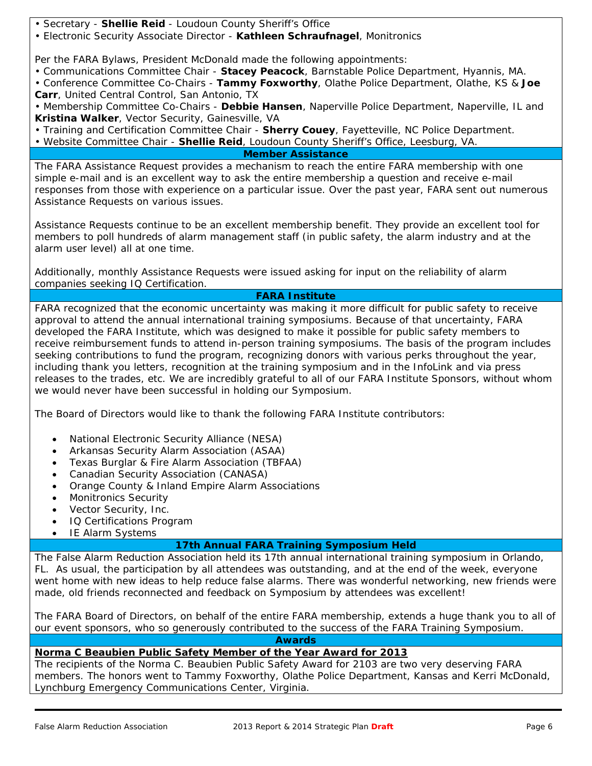• Secretary - **Shellie Reid** - Loudoun County Sheriff's Office

• Electronic Security Associate Director - **Kathleen Schraufnagel**, Monitronics

Per the FARA Bylaws, President McDonald made the following appointments:

• Communications Committee Chair - **Stacey Peacock**, Barnstable Police Department, Hyannis, MA.

• Conference Committee Co-Chairs - **Tammy Foxworthy**, Olathe Police Department, Olathe, KS & **Joe Carr**, United Central Control, San Antonio, TX

• Membership Committee Co-Chairs - **Debbie Hansen**, Naperville Police Department, Naperville, IL and **Kristina Walker**, Vector Security, Gainesville, VA

• Training and Certification Committee Chair - **Sherry Couey**, Fayetteville, NC Police Department.

• Website Committee Chair - **Shellie Reid**, Loudoun County Sheriff's Office, Leesburg, VA.

#### **Member Assistance**

The FARA Assistance Request provides a mechanism to reach the entire FARA membership with one simple e-mail and is an excellent way to ask the entire membership a question and receive e-mail responses from those with experience on a particular issue. Over the past year, FARA sent out numerous Assistance Requests on various issues.

Assistance Requests continue to be an excellent membership benefit. They provide an excellent tool for members to poll hundreds of alarm management staff (in public safety, the alarm industry and at the alarm user level) all at one time.

Additionally, monthly Assistance Requests were issued asking for input on the reliability of alarm companies seeking IQ Certification.

# **FARA Institute**

FARA recognized that the economic uncertainty was making it more difficult for public safety to receive approval to attend the annual international training symposiums. Because of that uncertainty, FARA developed the FARA Institute, which was designed to make it possible for public safety members to receive reimbursement funds to attend in-person training symposiums. The basis of the program includes seeking contributions to fund the program, recognizing donors with various perks throughout the year, including thank you letters, recognition at the training symposium and in the InfoLink and via press releases to the trades, etc. We are incredibly grateful to all of our FARA Institute Sponsors, without whom we would never have been successful in holding our Symposium.

The Board of Directors would like to thank the following FARA Institute contributors:

- National Electronic Security Alliance (NESA)
- Arkansas Security Alarm Association (ASAA)
- Texas Burglar & Fire Alarm Association (TBFAA)
- Canadian Security Association (CANASA)
- Orange County & Inland Empire Alarm Associations
- Monitronics Security
- Vector Security, Inc.
- IQ Certifications Program
- IE Alarm Systems

# **17th Annual FARA Training Symposium Held**

The False Alarm Reduction Association held its 17th annual international training symposium in Orlando, FL. As usual, the participation by all attendees was outstanding, and at the end of the week, everyone went home with new ideas to help reduce false alarms. There was wonderful networking, new friends were made, old friends reconnected and feedback on Symposium by attendees was excellent!

The FARA Board of Directors, on behalf of the entire FARA membership, extends a huge thank you to all of our event sponsors, who so generously contributed to the success of the FARA Training Symposium.

**Awards**

# **Norma C Beaubien Public Safety Member of the Year Award for 2013**

The recipients of the Norma C. Beaubien Public Safety Award for 2103 are two very deserving FARA members. The honors went to Tammy Foxworthy, Olathe Police Department, Kansas and Kerri McDonald, Lynchburg Emergency Communications Center, Virginia.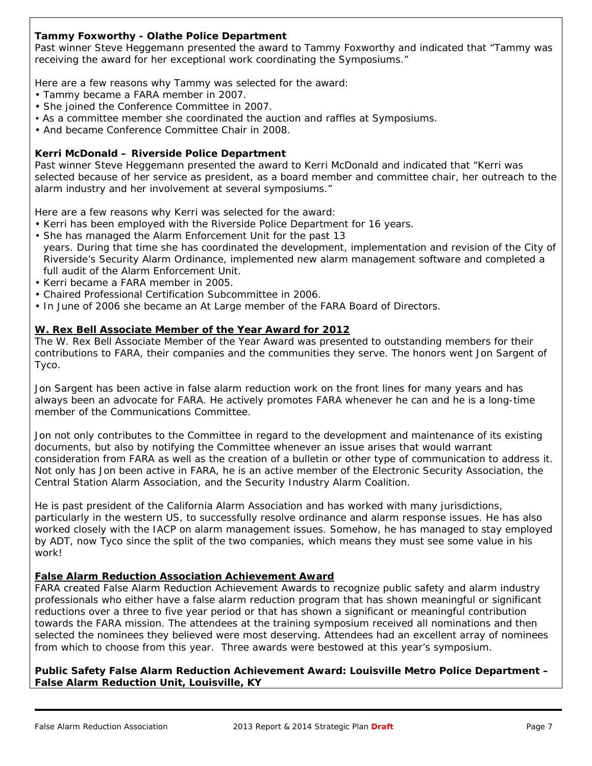# **Tammy Foxworthy - Olathe Police Department**

Past winner Steve Heggemann presented the award to Tammy Foxworthy and indicated that "Tammy was receiving the award for her exceptional work coordinating the Symposiums."

Here are a few reasons why Tammy was selected for the award:

- Tammy became a FARA member in 2007.
- She joined the Conference Committee in 2007.
- As a committee member she coordinated the auction and raffles at Symposiums.
- And became Conference Committee Chair in 2008.

#### **Kerri McDonald – Riverside Police Department**

Past winner Steve Heggemann presented the award to Kerri McDonald and indicated that "Kerri was selected because of her service as president, as a board member and committee chair, her outreach to the alarm industry and her involvement at several symposiums."

Here are a few reasons why Kerri was selected for the award:

- Kerri has been employed with the Riverside Police Department for 16 years.
- She has managed the Alarm Enforcement Unit for the past 13 years. During that time she has coordinated the development, implementation and revision of the City of Riverside's Security Alarm Ordinance, implemented new alarm management software and completed a full audit of the Alarm Enforcement Unit.
- Kerri became a FARA member in 2005.
- Chaired Professional Certification Subcommittee in 2006.
- In June of 2006 she became an At Large member of the FARA Board of Directors.

# **W. Rex Bell Associate Member of the Year Award for 2012**

The W. Rex Bell Associate Member of the Year Award was presented to outstanding members for their contributions to FARA, their companies and the communities they serve. The honors went Jon Sargent of Tyco.

Jon Sargent has been active in false alarm reduction work on the front lines for many years and has always been an advocate for FARA. He actively promotes FARA whenever he can and he is a long-time member of the Communications Committee.

Jon not only contributes to the Committee in regard to the development and maintenance of its existing documents, but also by notifying the Committee whenever an issue arises that would warrant consideration from FARA as well as the creation of a bulletin or other type of communication to address it. Not only has Jon been active in FARA, he is an active member of the Electronic Security Association, the Central Station Alarm Association, and the Security Industry Alarm Coalition.

He is past president of the California Alarm Association and has worked with many jurisdictions, particularly in the western US, to successfully resolve ordinance and alarm response issues. He has also worked closely with the IACP on alarm management issues. Somehow, he has managed to stay employed by ADT, now Tyco since the split of the two companies, which means they must see some value in his work!

# **False Alarm Reduction Association Achievement Award**

FARA created False Alarm Reduction Achievement Awards to recognize public safety and alarm industry professionals who either have a false alarm reduction program that has shown meaningful or significant reductions over a three to five year period or that has shown a significant or meaningful contribution towards the FARA mission. The attendees at the training symposium received all nominations and then selected the nominees they believed were most deserving. Attendees had an excellent array of nominees from which to choose from this year. Three awards were bestowed at this year's symposium.

**Public Safety False Alarm Reduction Achievement Award: Louisville Metro Police Department – False Alarm Reduction Unit, Louisville, KY**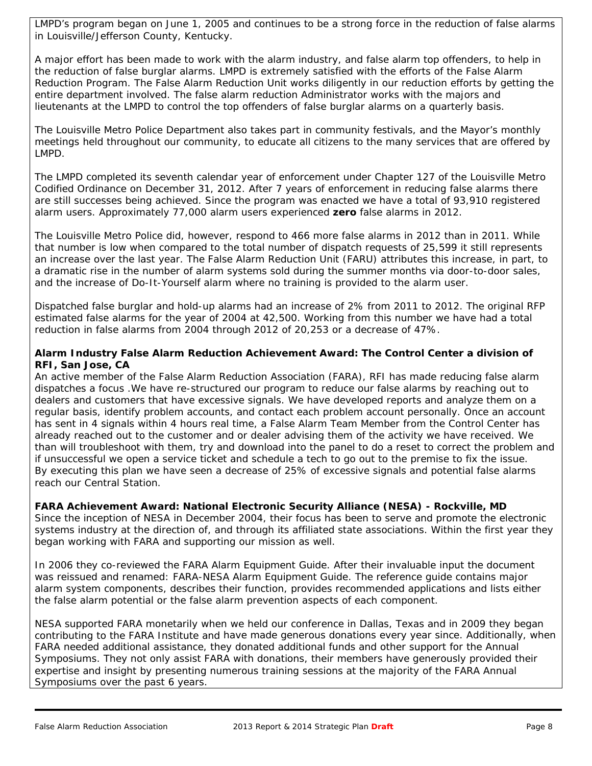LMPD's program began on June 1, 2005 and continues to be a strong force in the reduction of false alarms in Louisville/Jefferson County, Kentucky.

A major effort has been made to work with the alarm industry, and false alarm top offenders, to help in the reduction of false burglar alarms. LMPD is extremely satisfied with the efforts of the False Alarm Reduction Program. The False Alarm Reduction Unit works diligently in our reduction efforts by getting the entire department involved. The false alarm reduction Administrator works with the majors and lieutenants at the LMPD to control the top offenders of false burglar alarms on a quarterly basis.

The Louisville Metro Police Department also takes part in community festivals, and the Mayor's monthly meetings held throughout our community, to educate all citizens to the many services that are offered by LMPD.

The LMPD completed its seventh calendar year of enforcement under Chapter 127 of the Louisville Metro Codified Ordinance on December 31, 2012. After 7 years of enforcement in reducing false alarms there are still successes being achieved. Since the program was enacted we have a total of 93,910 registered alarm users. Approximately 77,000 alarm users experienced **zero** false alarms in 2012.

The Louisville Metro Police did, however, respond to 466 more false alarms in 2012 than in 2011. While that number is low when compared to the total number of dispatch requests of 25,599 it still represents an increase over the last year. The False Alarm Reduction Unit (FARU) attributes this increase, in part, to a dramatic rise in the number of alarm systems sold during the summer months via door-to-door sales, and the increase of Do-It-Yourself alarm where no training is provided to the alarm user.

Dispatched false burglar and hold-up alarms had an increase of 2% from 2011 to 2012. The original RFP estimated false alarms for the year of 2004 at 42,500. Working from this number we have had a total reduction in false alarms from 2004 through 2012 of 20,253 or a decrease of 47%.

# **Alarm Industry False Alarm Reduction Achievement Award: The Control Center a division of RFI, San Jose, CA**

An active member of the False Alarm Reduction Association (FARA), RFI has made reducing false alarm dispatches a focus .We have re-structured our program to reduce our false alarms by reaching out to dealers and customers that have excessive signals. We have developed reports and analyze them on a regular basis, identify problem accounts, and contact each problem account personally. Once an account has sent in 4 signals within 4 hours real time, a False Alarm Team Member from the Control Center has already reached out to the customer and or dealer advising them of the activity we have received. We than will troubleshoot with them, try and download into the panel to do a reset to correct the problem and if unsuccessful we open a service ticket and schedule a tech to go out to the premise to fix the issue. By executing this plan we have seen a decrease of 25% of excessive signals and potential false alarms reach our Central Station.

# **FARA Achievement Award: National Electronic Security Alliance (NESA) - Rockville, MD**

Since the inception of NESA in December 2004, their focus has been to serve and promote the electronic systems industry at the direction of, and through its affiliated state associations. Within the first year they began working with FARA and supporting our mission as well.

In 2006 they co-reviewed the FARA Alarm Equipment Guide. After their invaluable input the document was reissued and renamed: FARA-NESA Alarm Equipment Guide. The reference guide contains major alarm system components, describes their function, provides recommended applications and lists either the false alarm potential or the false alarm prevention aspects of each component.

NESA supported FARA monetarily when we held our conference in Dallas, Texas and in 2009 they began contributing to the FARA Institute and have made generous donations every year since. Additionally, when FARA needed additional assistance, they donated additional funds and other support for the Annual Symposiums. They not only assist FARA with donations, their members have generously provided their expertise and insight by presenting numerous training sessions at the majority of the FARA Annual Symposiums over the past 6 years.